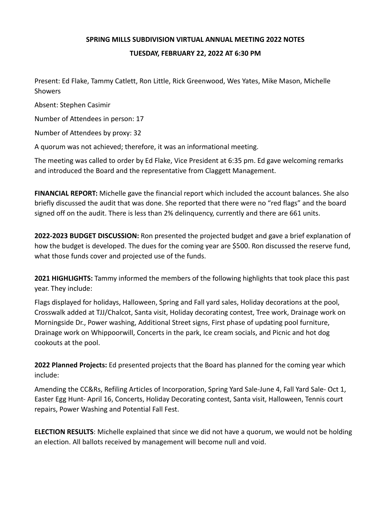## **SPRING MILLS SUBDIVISION VIRTUAL ANNUAL MEETING 2022 NOTES**

## **TUESDAY, FEBRUARY 22, 2022 AT 6:30 PM**

Present: Ed Flake, Tammy Catlett, Ron Little, Rick Greenwood, Wes Yates, Mike Mason, Michelle Showers

Absent: Stephen Casimir

Number of Attendees in person: 17

Number of Attendees by proxy: 32

A quorum was not achieved; therefore, it was an informational meeting.

The meeting was called to order by Ed Flake, Vice President at 6:35 pm. Ed gave welcoming remarks and introduced the Board and the representative from Claggett Management.

**FINANCIAL REPORT:** Michelle gave the financial report which included the account balances. She also briefly discussed the audit that was done. She reported that there were no "red flags" and the board signed off on the audit. There is less than 2% delinquency, currently and there are 661 units.

**2022-2023 BUDGET DISCUSSION:** Ron presented the projected budget and gave a brief explanation of how the budget is developed. The dues for the coming year are \$500. Ron discussed the reserve fund, what those funds cover and projected use of the funds.

**2021 HIGHLIGHTS:** Tammy informed the members of the following highlights that took place this past year. They include:

Flags displayed for holidays, Halloween, Spring and Fall yard sales, Holiday decorations at the pool, Crosswalk added at TJJ/Chalcot, Santa visit, Holiday decorating contest, Tree work, Drainage work on Morningside Dr., Power washing, Additional Street signs, First phase of updating pool furniture, Drainage work on Whippoorwill, Concerts in the park, Ice cream socials, and Picnic and hot dog cookouts at the pool.

**2022 Planned Projects:** Ed presented projects that the Board has planned for the coming year which include:

Amending the CC&Rs, Refiling Articles of Incorporation, Spring Yard Sale-June 4, Fall Yard Sale- Oct 1, Easter Egg Hunt- April 16, Concerts, Holiday Decorating contest, Santa visit, Halloween, Tennis court repairs, Power Washing and Potential Fall Fest.

**ELECTION RESULTS**: Michelle explained that since we did not have a quorum, we would not be holding an election. All ballots received by management will become null and void.